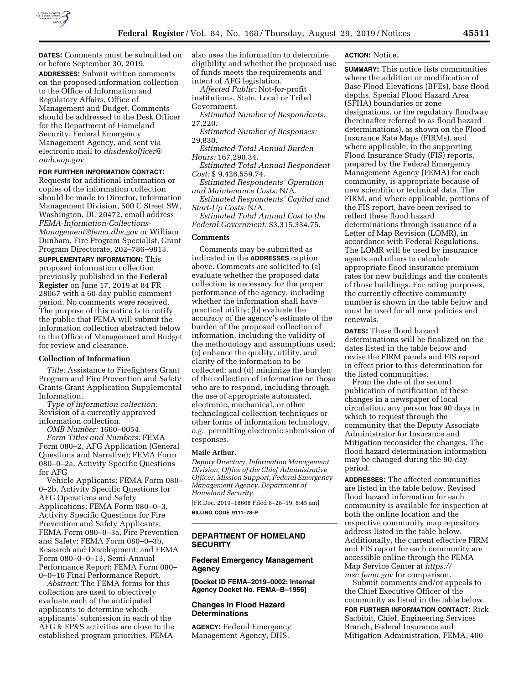

**DATES:** Comments must be submitted on or before September 30, 2019. **ADDRESSES:** Submit written comments on the proposed information collection to the Office of Information and Regulatory Affairs, Office of Management and Budget. Comments should be addressed to the Desk Officer for the Department of Homeland Security, Federal Emergency Management Agency, and sent via electronic mail to *[dhsdeskofficer@](mailto:dhsdeskofficer@omb.eop.gov) [omb.eop.gov.](mailto:dhsdeskofficer@omb.eop.gov)* 

### **FOR FURTHER INFORMATION CONTACT:**

Requests for additional information or copies of the information collection should be made to Director, Information Management Division, 500 C Street SW, Washington, DC 20472, email address *[FEMA-Information-Collections-](mailto:FEMA-Information-Collections-Management@fema.dhs.gov)[Management@fema.dhs.gov](mailto:FEMA-Information-Collections-Management@fema.dhs.gov)* or William Dunham, Fire Program Specialist, Grant Program Directorate, 202–786–9813.

**SUPPLEMENTARY INFORMATION:** This proposed information collection previously published in the **Federal Register** on June 17, 2019 at 84 FR 28067 with a 60-day public comment period. No comments were received. The purpose of this notice is to notify the public that FEMA will submit the information collection abstracted below to the Office of Management and Budget for review and clearance.

### **Collection of Information**

*Title:* Assistance to Firefighters Grant Program and Fire Prevention and Safety Grants-Grant Application Supplemental Information.

*Type of information collection:*  Revision of a currently approved information collection.

*OMB Number:* 1660–0054. *Form Titles and Numbers:* FEMA Form 080–2, AFG Application (General Questions and Narrative); FEMA Form 080–0–2a, Activity Specific Questions for AFG

Vehicle Applicants; FEMA Form 080– 0–2b, Activity Specific Questions for AFG Operations and Safety Applications; FEMA Form 080–0–3, Activity Specific Questions for Fire Prevention and Safety Applicants; FEMA Form 080–0–3a, Fire Prevention and Safety; FEMA Form 080–0–3b, Research and Development; and FEMA Form 080–0–0–13, Semi-Annual Performance Report; FEMA Form 080– 0–0–16 Final Performance Report.

*Abstract:* The FEMA forms for this collection are used to objectively evaluate each of the anticipated applicants to determine which applicants' submission in each of the AFG & FP&S activities are close to the established program priorities. FEMA

also uses the information to determine eligibility and whether the proposed use of funds meets the requirements and intent of AFG legislation.

*Affected Public:* Not-for-profit institutions, State, Local or Tribal Government.

*Estimated Number of Respondents:*  27,220.

*Estimated Number of Responses:*  29,830.

*Estimated Total Annual Burden Hours:* 167,290.34.

*Estimated Total Annual Respondent Cost:* \$ 9,426,559.74.

*Estimated Respondents' Operation and Maintenance Costs:* N/A.

*Estimated Respondents' Capital and Start-Up Costs:* N/A.

*Estimated Total Annual Cost to the Federal Government:* \$3,315,334.75.

## **Comments**

Comments may be submitted as indicated in the **ADDRESSES** caption above. Comments are solicited to (a) evaluate whether the proposed data collection is necessary for the proper performance of the agency, including whether the information shall have practical utility; (b) evaluate the accuracy of the agency's estimate of the burden of the proposed collection of information, including the validity of the methodology and assumptions used; (c) enhance the quality, utility, and clarity of the information to be collected; and (d) minimize the burden of the collection of information on those who are to respond, including through the use of appropriate automated, electronic, mechanical, or other technological collection techniques or other forms of information technology, *e.g.,* permitting electronic submission of responses.

#### **Maile Arthur,**

*Deputy Directory, Information Management Division, Office of the Chief Administrative Officer, Mission Support, Federal Emergency Management Agency, Department of Homeland Security.* 

[FR Doc. 2019–18668 Filed 8–28–19; 8:45 am] **BILLING CODE 9111–78–P** 

# **DEPARTMENT OF HOMELAND SECURITY**

# **Federal Emergency Management Agency**

**[Docket ID FEMA–2019–0002; Internal Agency Docket No. FEMA–B–1956]** 

# **Changes in Flood Hazard Determinations**

**AGENCY:** Federal Emergency Management Agency, DHS.

### **ACTION:** Notice.

**SUMMARY:** This notice lists communities where the addition or modification of Base Flood Elevations (BFEs), base flood depths, Special Flood Hazard Area (SFHA) boundaries or zone designations, or the regulatory floodway (hereinafter referred to as flood hazard determinations), as shown on the Flood Insurance Rate Maps (FIRMs), and where applicable, in the supporting Flood Insurance Study (FIS) reports, prepared by the Federal Emergency Management Agency (FEMA) for each community, is appropriate because of new scientific or technical data. The FIRM, and where applicable, portions of the FIS report, have been revised to reflect these flood hazard determinations through issuance of a Letter of Map Revision (LOMR), in accordance with Federal Regulations. The LOMR will be used by insurance agents and others to calculate appropriate flood insurance premium rates for new buildings and the contents of those buildings. For rating purposes, the currently effective community number is shown in the table below and must be used for all new policies and renewals.

**DATES:** These flood hazard determinations will be finalized on the dates listed in the table below and revise the FIRM panels and FIS report in effect prior to this determination for the listed communities.

From the date of the second publication of notification of these changes in a newspaper of local circulation, any person has 90 days in which to request through the community that the Deputy Associate Administrator for Insurance and Mitigation reconsider the changes. The flood hazard determination information may be changed during the 90-day period.

**ADDRESSES:** The affected communities are listed in the table below. Revised flood hazard information for each community is available for inspection at both the online location and the respective community map repository address listed in the table below. Additionally, the current effective FIRM and FIS report for each community are accessible online through the FEMA Map Service Center at *[https://](https://msc.fema.gov) [msc.fema.gov](https://msc.fema.gov)* for comparison.

Submit comments and/or appeals to the Chief Executive Officer of the community as listed in the table below. **FOR FURTHER INFORMATION CONTACT:** Rick Sacbibit, Chief, Engineering Services Branch, Federal Insurance and Mitigation Administration, FEMA, 400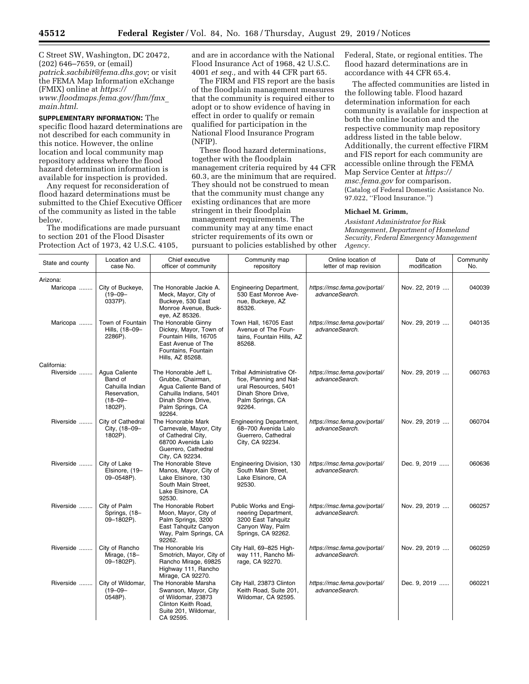C Street SW, Washington, DC 20472, (202) 646–7659, or (email) *[patrick.sacbibit@fema.dhs.gov](mailto:patrick.sacbibit@fema.dhs.gov)*; or visit the FEMA Map Information eXchange (FMIX) online at *[https://](https://www.floodmaps.fema.gov/fhm/fmx_main.html) [www.floodmaps.fema.gov/fhm/fmx](https://www.floodmaps.fema.gov/fhm/fmx_main.html)*\_ *[main.html](https://www.floodmaps.fema.gov/fhm/fmx_main.html)*.

**SUPPLEMENTARY INFORMATION:** The specific flood hazard determinations are not described for each community in this notice. However, the online location and local community map repository address where the flood hazard determination information is available for inspection is provided.

Any request for reconsideration of flood hazard determinations must be submitted to the Chief Executive Officer of the community as listed in the table below.

The modifications are made pursuant to section 201 of the Flood Disaster Protection Act of 1973, 42 U.S.C. 4105,

and are in accordance with the National Flood Insurance Act of 1968, 42 U.S.C. 4001 *et seq.,* and with 44 CFR part 65.

The FIRM and FIS report are the basis of the floodplain management measures that the community is required either to adopt or to show evidence of having in effect in order to qualify or remain qualified for participation in the National Flood Insurance Program (NFIP).

These flood hazard determinations, together with the floodplain management criteria required by 44 CFR 60.3, are the minimum that are required. They should not be construed to mean that the community must change any existing ordinances that are more stringent in their floodplain management requirements. The community may at any time enact stricter requirements of its own or pursuant to policies established by other Federal, State, or regional entities. The flood hazard determinations are in accordance with 44 CFR 65.4.

The affected communities are listed in the following table. Flood hazard determination information for each community is available for inspection at both the online location and the respective community map repository address listed in the table below. Additionally, the current effective FIRM and FIS report for each community are accessible online through the FEMA Map Service Center at *[https://](https://msc.fema.gov) [msc.fema.gov](https://msc.fema.gov)* for comparison. (Catalog of Federal Domestic Assistance No. 97.022, ''Flood Insurance.'')

## **Michael M. Grimm,**

*Assistant Administrator for Risk Management, Department of Homeland Security, Federal Emergency Management Agency.* 

| State and county | Location and<br>case No.                                                               | Chief executive<br>officer of community                                                                                                           | Community map<br>repository                                                                                                      | Online location of<br>letter of map revision   | Date of<br>modification | Community<br>No. |
|------------------|----------------------------------------------------------------------------------------|---------------------------------------------------------------------------------------------------------------------------------------------------|----------------------------------------------------------------------------------------------------------------------------------|------------------------------------------------|-------------------------|------------------|
| Arizona:         |                                                                                        |                                                                                                                                                   |                                                                                                                                  |                                                |                         |                  |
| Maricopa         | City of Buckeye,<br>$(19 - 09 -$<br>0337P).                                            | The Honorable Jackie A.<br>Meck, Mayor, City of<br>Buckeye, 530 East<br>Monroe Avenue, Buck-<br>eye, AZ 85326.                                    | <b>Engineering Department,</b><br>530 East Monroe Ave-<br>nue, Buckeye, AZ<br>85326.                                             | https://msc.fema.gov/portal/<br>advanceSearch. | Nov. 22, 2019           | 040039           |
| Maricopa         | Town of Fountain<br>Hills, (18-09-<br>2286P).                                          | The Honorable Ginny<br>Dickey, Mayor, Town of<br>Fountain Hills, 16705<br>East Avenue of The<br>Fountains, Fountain<br>Hills, AZ 85268.           | Town Hall, 16705 East<br>Avenue of The Foun-<br>tains, Fountain Hills, AZ<br>85268.                                              | https://msc.fema.gov/portal/<br>advanceSearch. | Nov. 29, 2019           | 040135           |
| California:      |                                                                                        |                                                                                                                                                   |                                                                                                                                  |                                                |                         |                  |
| Riverside        | Agua Caliente<br>Band of<br>Cahuilla Indian<br>Reservation,<br>$(18 - 09 -$<br>1802P). | The Honorable Jeff L.<br>Grubbe, Chairman,<br>Agua Caliente Band of<br>Cahuilla Indians, 5401<br>Dinah Shore Drive,<br>Palm Springs, CA<br>92264. | Tribal Administrative Of-<br>fice, Planning and Nat-<br>ural Resources, 5401<br>Dinah Shore Drive.<br>Palm Springs, CA<br>92264. | https://msc.fema.gov/portal/<br>advanceSearch. | Nov. 29, 2019           | 060763           |
| Riverside        | City of Cathedral<br>City, (18-09-<br>1802P).                                          | The Honorable Mark<br>Carnevale, Mayor, City<br>of Cathedral City,<br>68700 Avenida Lalo<br>Guerrero, Cathedral<br>City, CA 92234.                | <b>Engineering Department,</b><br>68-700 Avenida Lalo<br>Guerrero, Cathedral<br>City, CA 92234.                                  | https://msc.fema.gov/portal/<br>advanceSearch. | Nov. 29, 2019           | 060704           |
| Riverside        | City of Lake<br>Elsinore, (19-<br>09-0548P).                                           | The Honorable Steve<br>Manos, Mayor, City of<br>Lake Elsinore, 130<br>South Main Street,<br>Lake Elsinore, CA<br>92530.                           | Engineering Division, 130<br>South Main Street,<br>Lake Elsinore, CA<br>92530.                                                   | https://msc.fema.gov/portal/<br>advanceSearch. | Dec. 9, 2019            | 060636           |
| Riverside        | City of Palm<br>Springs, (18-<br>09-1802P).                                            | The Honorable Robert<br>Moon, Mayor, City of<br>Palm Springs, 3200<br>East Tahquitz Canyon<br>Way, Palm Springs, CA<br>92262.                     | Public Works and Engi-<br>neering Department,<br>3200 East Tahquitz<br>Canyon Way, Palm<br>Springs, CA 92262.                    | https://msc.fema.gov/portal/<br>advanceSearch. | Nov. 29, 2019           | 060257           |
| Riverside        | City of Rancho<br>Mirage, (18-<br>09-1802P).                                           | The Honorable Iris<br>Smotrich, Mayor, City of<br>Rancho Mirage, 69825<br>Highway 111, Rancho<br>Mirage, CA 92270.                                | City Hall, 69-825 High-<br>way 111, Rancho Mi-<br>rage, CA 92270.                                                                | https://msc.fema.gov/portal/<br>advanceSearch. | Nov. 29, 2019           | 060259           |
| Riverside        | City of Wildomar,<br>$(19 - 09 -$<br>0548P).                                           | The Honorable Marsha<br>Swanson, Mayor, City<br>of Wildomar, 23873<br>Clinton Keith Road,<br>Suite 201, Wildomar,<br>CA 92595.                    | City Hall, 23873 Clinton<br>Keith Road, Suite 201,<br>Wildomar, CA 92595.                                                        | https://msc.fema.gov/portal/<br>advanceSearch. | Dec. 9, 2019            | 060221           |